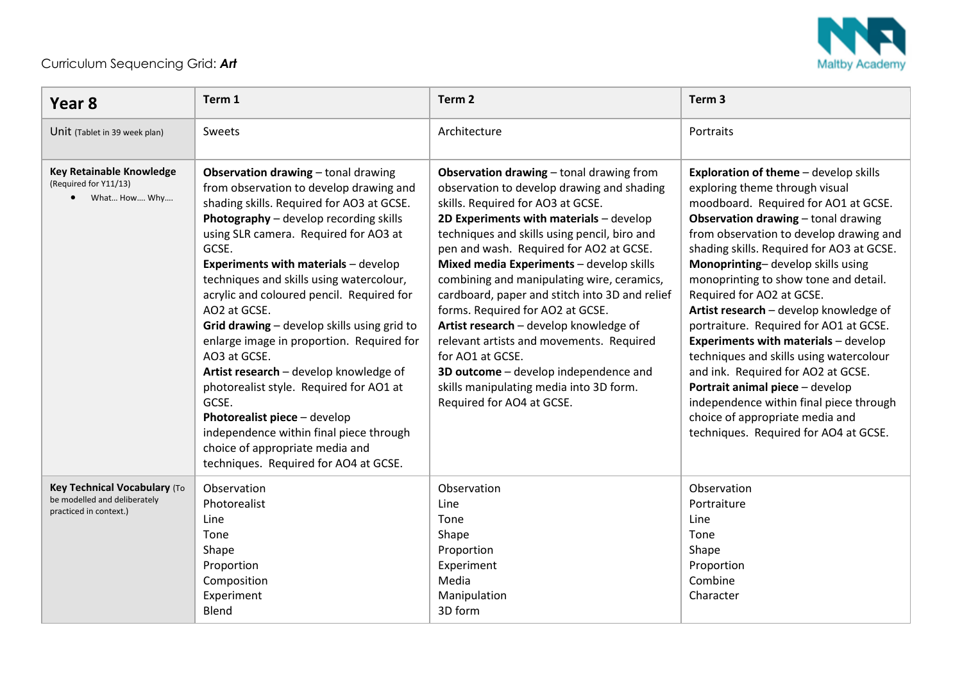

## Curriculum Sequencing Grid: *Art*

| Year 8                                                                                 | Term 1                                                                                                                                                                                                                                                                                                                                                                                                                                                                                                                                                                                                                                                                                                                                                  | Term <sub>2</sub>                                                                                                                                                                                                                                                                                                                                                                                                                                                                                                                                                                                                                                                            | Term <sub>3</sub>                                                                                                                                                                                                                                                                                                                                                                                                                                                                                                                                                                                                                                                                                                                                     |
|----------------------------------------------------------------------------------------|---------------------------------------------------------------------------------------------------------------------------------------------------------------------------------------------------------------------------------------------------------------------------------------------------------------------------------------------------------------------------------------------------------------------------------------------------------------------------------------------------------------------------------------------------------------------------------------------------------------------------------------------------------------------------------------------------------------------------------------------------------|------------------------------------------------------------------------------------------------------------------------------------------------------------------------------------------------------------------------------------------------------------------------------------------------------------------------------------------------------------------------------------------------------------------------------------------------------------------------------------------------------------------------------------------------------------------------------------------------------------------------------------------------------------------------------|-------------------------------------------------------------------------------------------------------------------------------------------------------------------------------------------------------------------------------------------------------------------------------------------------------------------------------------------------------------------------------------------------------------------------------------------------------------------------------------------------------------------------------------------------------------------------------------------------------------------------------------------------------------------------------------------------------------------------------------------------------|
| Unit (Tablet in 39 week plan)                                                          | Sweets                                                                                                                                                                                                                                                                                                                                                                                                                                                                                                                                                                                                                                                                                                                                                  | Architecture                                                                                                                                                                                                                                                                                                                                                                                                                                                                                                                                                                                                                                                                 | Portraits                                                                                                                                                                                                                                                                                                                                                                                                                                                                                                                                                                                                                                                                                                                                             |
| <b>Key Retainable Knowledge</b><br>(Required for Y11/13)<br>• What How Why             | <b>Observation drawing</b> - tonal drawing<br>from observation to develop drawing and<br>shading skills. Required for AO3 at GCSE.<br>Photography - develop recording skills<br>using SLR camera. Required for AO3 at<br>GCSE.<br><b>Experiments with materials - develop</b><br>techniques and skills using watercolour,<br>acrylic and coloured pencil. Required for<br>AO2 at GCSE.<br>Grid drawing - develop skills using grid to<br>enlarge image in proportion. Required for<br>AO3 at GCSE.<br>Artist research - develop knowledge of<br>photorealist style. Required for AO1 at<br>GCSE.<br>Photorealist piece - develop<br>independence within final piece through<br>choice of appropriate media and<br>techniques. Required for AO4 at GCSE. | Observation drawing - tonal drawing from<br>observation to develop drawing and shading<br>skills. Required for AO3 at GCSE.<br>2D Experiments with materials - develop<br>techniques and skills using pencil, biro and<br>pen and wash. Required for AO2 at GCSE.<br>Mixed media Experiments - develop skills<br>combining and manipulating wire, ceramics,<br>cardboard, paper and stitch into 3D and relief<br>forms. Required for AO2 at GCSE.<br>Artist research - develop knowledge of<br>relevant artists and movements. Required<br>for AO1 at GCSE.<br>3D outcome - develop independence and<br>skills manipulating media into 3D form.<br>Required for AO4 at GCSE. | <b>Exploration of theme</b> - develop skills<br>exploring theme through visual<br>moodboard. Required for AO1 at GCSE.<br><b>Observation drawing - tonal drawing</b><br>from observation to develop drawing and<br>shading skills. Required for AO3 at GCSE.<br>Monoprinting-develop skills using<br>monoprinting to show tone and detail.<br>Required for AO2 at GCSE.<br>Artist research - develop knowledge of<br>portraiture. Required for AO1 at GCSE.<br><b>Experiments with materials - develop</b><br>techniques and skills using watercolour<br>and ink. Required for AO2 at GCSE.<br>Portrait animal piece - develop<br>independence within final piece through<br>choice of appropriate media and<br>techniques. Required for AO4 at GCSE. |
| Key Technical Vocabulary (To<br>be modelled and deliberately<br>practiced in context.) | Observation<br>Photorealist<br>Line<br>Tone<br>Shape<br>Proportion<br>Composition<br>Experiment<br>Blend                                                                                                                                                                                                                                                                                                                                                                                                                                                                                                                                                                                                                                                | Observation<br>Line<br>Tone<br>Shape<br>Proportion<br>Experiment<br>Media<br>Manipulation<br>3D form                                                                                                                                                                                                                                                                                                                                                                                                                                                                                                                                                                         | Observation<br>Portraiture<br>Line<br>Tone<br>Shape<br>Proportion<br>Combine<br>Character                                                                                                                                                                                                                                                                                                                                                                                                                                                                                                                                                                                                                                                             |